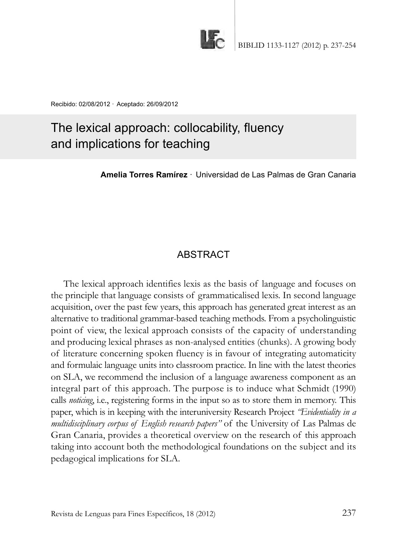

Recibido: 02/08/2012 · Aceptado: 26/09/2012

# The lexical approach: collocability, fluency and implications for teaching

**Amelia Torres Ramírez** · Universidad de Las Palmas de Gran Canaria

# **ABSTRACT**

The lexical approach identifies lexis as the basis of language and focuses on the principle that language consists of grammaticalised lexis. In second language acquisition, over the past few years, this approach has generated great interest as an alternative to traditional grammar-based teaching methods. From a psycholinguistic point of view, the lexical approach consists of the capacity of understanding and producing lexical phrases as non-analysed entities (chunks). A growing body of literature concerning spoken fluency is in favour of integrating automaticity and formulaic language units into classroom practice. In line with the latest theories on SlA, we recommend the inclusion of a language awareness component as an integral part of this approach. The purpose is to induce what Schmidt (1990) calls *noticing*, i.e., registering forms in the input so as to store them in memory. This paper, which is in keeping with the interuniversity Research Project *"Evidentiality in a multidisciplinary corpus of English research papers*" of the University of Las Palmas de Gran Canaria, provides a theoretical overview on the research of this approach taking into account both the methodological foundations on the subject and its pedagogical implications for SlA.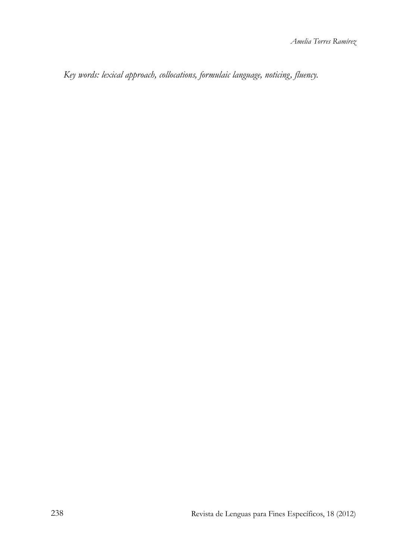*Key words: lexical approach, collocations, formulaic language, noticing, fluency.*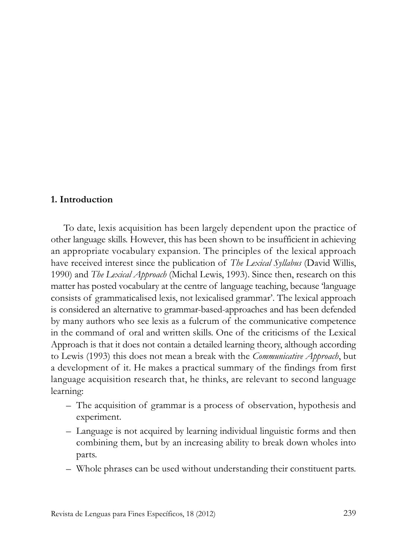#### **1. Introduction**

To date, lexis acquisition has been largely dependent upon the practice of other language skills. However, this has been shown to be insufficient in achieving an appropriate vocabulary expansion. The principles of the lexical approach have received interest since the publication of *The Lexical Syllabus* (David Willis, 1990) and *The Lexical Approach* (Michal lewis, 1993). Since then, research on this matter has posted vocabulary at the centre of language teaching, because 'language consists of grammaticalised lexis, not lexicalised grammar'. The lexical approach is considered an alternative to grammar-based-approaches and has been defended by many authors who see lexis as a fulcrum of the communicative competence in the command of oral and written skills. One of the criticisms of the lexical Approach is that it does not contain a detailed learning theory, although according to lewis (1993) this does not mean a break with the *Communicative Approach*, but a development of it. He makes a practical summary of the findings from first language acquisition research that, he thinks, are relevant to second language learning:

- The acquisition of grammar is a process of observation, hypothesis and experiment.
- language is not acquired by learning individual linguistic forms and then combining them, but by an increasing ability to break down wholes into parts.
- Whole phrases can be used without understanding their constituent parts.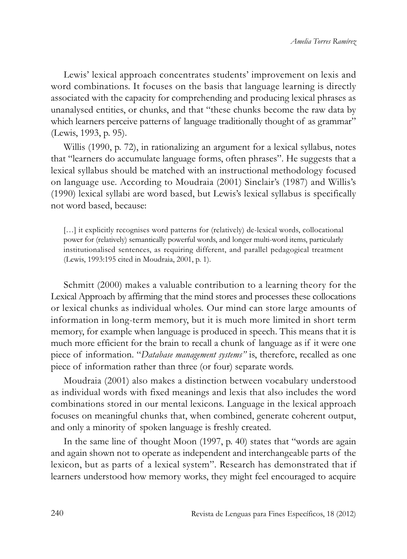lewis' lexical approach concentrates students' improvement on lexis and word combinations. It focuses on the basis that language learning is directly associated with the capacity for comprehending and producing lexical phrases as unanalysed entities, or chunks, and that "these chunks become the raw data by which learners perceive patterns of language traditionally thought of as grammar" (lewis, 1993, p. 95).

Willis (1990, p. 72), in rationalizing an argument for a lexical syllabus, notes that "learners do accumulate language forms, often phrases". He suggests that a lexical syllabus should be matched with an instructional methodology focused on language use. According to Moudraia (2001) Sinclair's (1987) and Willis's (1990) lexical syllabi are word based, but lewis's lexical syllabus is specifically not word based, because:

[...] it explicitly recognises word patterns for (relatively) de-lexical words, collocational power for (relatively) semantically powerful words, and longer multi-word items, particularly institutionalised sentences, as requiring different, and parallel pedagogical treatment (lewis, 1993:195 cited in Moudraia, 2001, p. 1).

Schmitt (2000) makes a valuable contribution to a learning theory for the lexical Approach by affirming that the mind stores and processes these collocations or lexical chunks as individual wholes. Our mind can store large amounts of information in long-term memory, but it is much more limited in short term memory, for example when language is produced in speech. This means that it is much more efficient for the brain to recall a chunk of language as if it were one piece of information. "*Database management systems"* is, therefore, recalled as one piece of information rather than three (or four) separate words.

Moudraia (2001) also makes a distinction between vocabulary understood as individual words with fixed meanings and lexis that also includes the word combinations stored in our mental lexicons. language in the lexical approach focuses on meaningful chunks that, when combined, generate coherent output, and only a minority of spoken language is freshly created.

In the same line of thought Moon (1997, p. 40) states that "words are again and again shown not to operate as independent and interchangeable parts of the lexicon, but as parts of a lexical system". Research has demonstrated that if learners understood how memory works, they might feel encouraged to acquire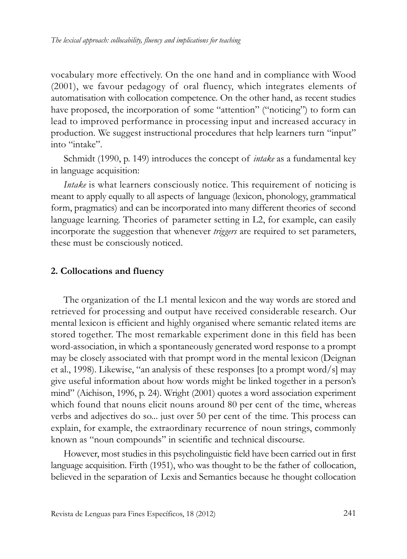vocabulary more effectively. On the one hand and in compliance with Wood (2001), we favour pedagogy of oral fluency, which integrates elements of automatisation with collocation competence. On the other hand, as recent studies have proposed, the incorporation of some "attention" ("noticing") to form can lead to improved performance in processing input and increased accuracy in production. We suggest instructional procedures that help learners turn "input" into "intake".

Schmidt (1990, p. 149) introduces the concept of *intake* as a fundamental key in language acquisition:

*Intake* is what learners consciously notice. This requirement of noticing is meant to apply equally to all aspects of language (lexicon, phonology, grammatical form, pragmatics) and can be incorporated into many different theories of second language learning. Theories of parameter setting in L2, for example, can easily incorporate the suggestion that whenever *triggers* are required to set parameters, these must be consciously noticed.

#### **2. Collocations and fluency**

The organization of the L1 mental lexicon and the way words are stored and retrieved for processing and output have received considerable research. Our mental lexicon is efficient and highly organised where semantic related items are stored together. The most remarkable experiment done in this field has been word-association, in which a spontaneously generated word response to a prompt may be closely associated with that prompt word in the mental lexicon (Deignan et al., 1998). likewise, "an analysis of these responses [to a prompt word/s] may give useful information about how words might be linked together in a person's mind" (Aichison, 1996, p. 24). Wright (2001) quotes a word association experiment which found that nouns elicit nouns around 80 per cent of the time, whereas verbs and adjectives do so... just over 50 per cent of the time. This process can explain, for example, the extraordinary recurrence of noun strings, commonly known as "noun compounds" in scientific and technical discourse.

However, most studies in this psycholinguistic field have been carried out in first language acquisition. Firth (1951), who was thought to be the father of collocation, believed in the separation of lexis and Semantics because he thought collocation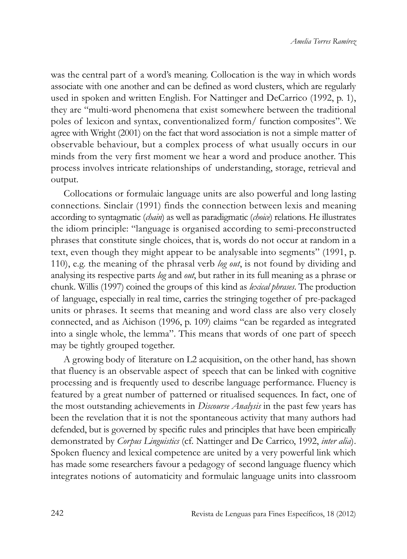was the central part of a word's meaning. Collocation is the way in which words associate with one another and can be defined as word clusters, which are regularly used in spoken and written English. For Nattinger and DeCarrico (1992, p. 1), they are "multi-word phenomena that exist somewhere between the traditional poles of lexicon and syntax, conventionalized form/ function composites". We agree with Wright (2001) on the fact that word association is not a simple matter of observable behaviour, but a complex process of what usually occurs in our minds from the very first moment we hear a word and produce another. This process involves intricate relationships of understanding, storage, retrieval and output.

Collocations or formulaic language units are also powerful and long lasting connections. Sinclair (1991) finds the connection between lexis and meaning according to syntagmatic (*chain*) as well as paradigmatic (*choice*) relations. He illustrates the idiom principle: "language is organised according to semi-preconstructed phrases that constitute single choices, that is, words do not occur at random in a text, even though they might appear to be analysable into segments" (1991, p. 110), e.g. the meaning of the phrasal verb *log out*, is not found by dividing and analysing its respective parts *log* and *out*, but rather in its full meaning as a phrase or chunk. Willis (1997) coined the groups of this kind as *lexical phrases*. The production of language, especially in real time, carries the stringing together of pre-packaged units or phrases. It seems that meaning and word class are also very closely connected, and as Aichison (1996, p. 109) claims "can be regarded as integrated into a single whole, the lemma". This means that words of one part of speech may be tightly grouped together.

A growing body of literature on l2 acquisition, on the other hand, has shown that fluency is an observable aspect of speech that can be linked with cognitive processing and is frequently used to describe language performance. Fluency is featured by a great number of patterned or ritualised sequences. in fact, one of the most outstanding achievements in *Discourse Analysis* in the past few years has been the revelation that it is not the spontaneous activity that many authors had defended, but is governed by specific rules and principles that have been empirically demonstrated by *Corpus Linguistics* (cf. Nattinger and De Carrico, 1992, *inter alia*). Spoken fluency and lexical competence are united by a very powerful link which has made some researchers favour a pedagogy of second language fluency which integrates notions of automaticity and formulaic language units into classroom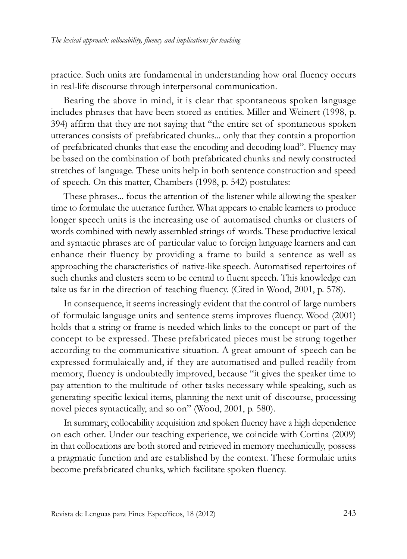practice. Such units are fundamental in understanding how oral fluency occurs in real-life discourse through interpersonal communication.

Bearing the above in mind, it is clear that spontaneous spoken language includes phrases that have been stored as entities. Miller and Weinert (1998, p. 394) affirm that they are not saying that "the entire set of spontaneous spoken utterances consists of prefabricated chunks... only that they contain a proportion of prefabricated chunks that ease the encoding and decoding load". Fluency may be based on the combination of both prefabricated chunks and newly constructed stretches of language. These units help in both sentence construction and speed of speech. On this matter, Chambers (1998, p. 542) postulates:

These phrases... focus the attention of the listener while allowing the speaker time to formulate the utterance further. What appears to enable learners to produce longer speech units is the increasing use of automatised chunks or clusters of words combined with newly assembled strings of words. These productive lexical and syntactic phrases are of particular value to foreign language learners and can enhance their fluency by providing a frame to build a sentence as well as approaching the characteristics of native-like speech. Automatised repertoires of such chunks and clusters seem to be central to fluent speech. This knowledge can take us far in the direction of teaching fluency. (Cited in Wood, 2001, p. 578).

In consequence, it seems increasingly evident that the control of large numbers of formulaic language units and sentence stems improves fluency. Wood (2001) holds that a string or frame is needed which links to the concept or part of the concept to be expressed. These prefabricated pieces must be strung together according to the communicative situation. A great amount of speech can be expressed formulaically and, if they are automatised and pulled readily from memory, fluency is undoubtedly improved, because "it gives the speaker time to pay attention to the multitude of other tasks necessary while speaking, such as generating specific lexical items, planning the next unit of discourse, processing novel pieces syntactically, and so on" (Wood, 2001, p. 580).

In summary, collocability acquisition and spoken fluency have a high dependence on each other. Under our teaching experience, we coincide with Cortina (2009) in that collocations are both stored and retrieved in memory mechanically, possess a pragmatic function and are established by the context. These formulaic units become prefabricated chunks, which facilitate spoken fluency.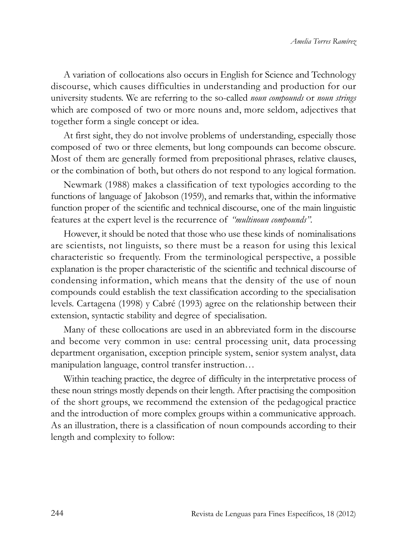A variation of collocations also occurs in English for Science and Technology discourse, which causes difficulties in understanding and production for our university students. We are referring to the so-called *noun compounds* or *noun strings* which are composed of two or more nouns and, more seldom, adjectives that together form a single concept or idea.

At first sight, they do not involve problems of understanding, especially those composed of two or three elements, but long compounds can become obscure. Most of them are generally formed from prepositional phrases, relative clauses, or the combination of both, but others do not respond to any logical formation.

Newmark (1988) makes a classification of text typologies according to the functions of language of Jakobson (1959), and remarks that, within the informative function proper of the scientific and technical discourse, one of the main linguistic features at the expert level is the recurrence of *"multinoun compounds".* 

However, it should be noted that those who use these kinds of nominalisations are scientists, not linguists, so there must be a reason for using this lexical characteristic so frequently. From the terminological perspective, a possible explanation is the proper characteristic of the scientific and technical discourse of condensing information, which means that the density of the use of noun compounds could establish the text classification according to the specialisation levels. Cartagena (1998) y Cabré (1993) agree on the relationship between their extension, syntactic stability and degree of specialisation.

Many of these collocations are used in an abbreviated form in the discourse and become very common in use: central processing unit, data processing department organisation, exception principle system, senior system analyst, data manipulation language, control transfer instruction…

Within teaching practice, the degree of difficulty in the interpretative process of these noun strings mostly depends on their length. After practising the composition of the short groups, we recommend the extension of the pedagogical practice and the introduction of more complex groups within a communicative approach. As an illustration, there is a classification of noun compounds according to their length and complexity to follow: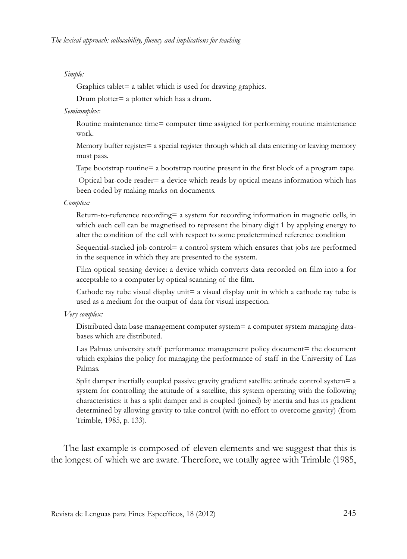#### *Simple:*

Graphics tablet= a tablet which is used for drawing graphics.

Drum plotter= a plotter which has a drum.

*Semicomplex:* 

Routine maintenance time= computer time assigned for performing routine maintenance work.

Memory buffer register= a special register through which all data entering or leaving memory must pass.

Tape bootstrap routine= a bootstrap routine present in the first block of a program tape.

Optical bar-code reader= a device which reads by optical means information which has been coded by making marks on documents.

*Complex:* 

Return-to-reference recording= a system for recording information in magnetic cells, in which each cell can be magnetised to represent the binary digit 1 by applying energy to alter the condition of the cell with respect to some predetermined reference condition

Sequential-stacked job control= a control system which ensures that jobs are performed in the sequence in which they are presented to the system.

Film optical sensing device: a device which converts data recorded on film into a for acceptable to a computer by optical scanning of the film.

Cathode ray tube visual display unit= a visual display unit in which a cathode ray tube is used as a medium for the output of data for visual inspection.

#### *Very complex:*

Distributed data base management computer system= a computer system managing databases which are distributed.

Las Palmas university staff performance management policy document= the document which explains the policy for managing the performance of staff in the University of Las Palmas.

Split damper inertially coupled passive gravity gradient satellite attitude control system= a system for controlling the attitude of a satellite, this system operating with the following characteristics: it has a split damper and is coupled (joined) by inertia and has its gradient determined by allowing gravity to take control (with no effort to overcome gravity) (from Trimble, 1985, p. 133).

The last example is composed of eleven elements and we suggest that this is the longest of which we are aware. Therefore, we totally agree with Trimble (1985,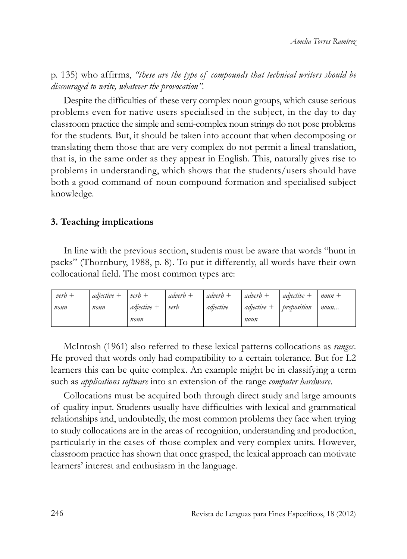p. 135) who affirms, *"these are the type of compounds that technical writers should be discouraged to write, whatever the provocation".* 

Despite the difficulties of these very complex noun groups, which cause serious problems even for native users specialised in the subject, in the day to day classroom practice the simple and semi-complex noun strings do not pose problems for the students. But, it should be taken into account that when decomposing or translating them those that are very complex do not permit a lineal translation, that is, in the same order as they appear in English. This, naturally gives rise to problems in understanding, which shows that the students/users should have both a good command of noun compound formation and specialised subject knowledge.

#### **3. Teaching implications**

In line with the previous section, students must be aware that words "hunt in packs" (Thornbury, 1988, p. 8). To put it differently, all words have their own collocational field. The most common types are:

| $verb+$ | $adjective +$ | $verb+$     | $adverb+$ | $adverb+$ | $adverb+$     | $adective +$ | $noun +$ |
|---------|---------------|-------------|-----------|-----------|---------------|--------------|----------|
| noun    | noun          | adjective + | verb      | adiective | $adjective +$ | preposition  | noun     |
|         |               | noun        |           |           | noun          |              |          |

Mcintosh (1961) also referred to these lexical patterns collocations as *ranges*. He proved that words only had compatibility to a certain tolerance. But for L2 learners this can be quite complex. An example might be in classifying a term such as *applications software* into an extension of the range *computer hardware*.

Collocations must be acquired both through direct study and large amounts of quality input. Students usually have difficulties with lexical and grammatical relationships and, undoubtedly, the most common problems they face when trying to study collocations are in the areas of recognition, understanding and production, particularly in the cases of those complex and very complex units. However, classroom practice has shown that once grasped, the lexical approach can motivate learners' interest and enthusiasm in the language.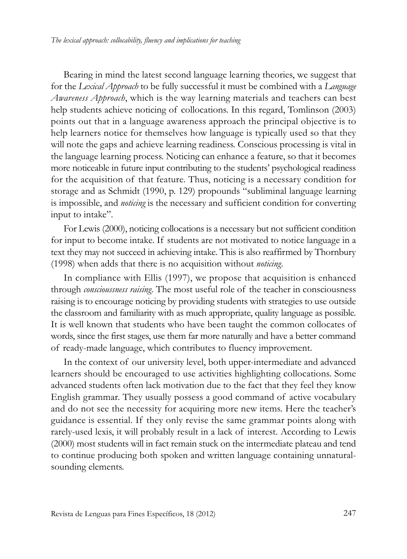Bearing in mind the latest second language learning theories, we suggest that for the *Lexical Approach* to be fully successful it must be combined with a *Language Awareness Approach*, which is the way learning materials and teachers can best help students achieve noticing of collocations. In this regard, Tomlinson (2003) points out that in a language awareness approach the principal objective is to help learners notice for themselves how language is typically used so that they will note the gaps and achieve learning readiness. Conscious processing is vital in the language learning process. Noticing can enhance a feature, so that it becomes more noticeable in future input contributing to the students' psychological readiness for the acquisition of that feature. Thus, noticing is a necessary condition for storage and as Schmidt (1990, p. 129) propounds "subliminal language learning is impossible, and *noticing* is the necessary and sufficient condition for converting input to intake".

For lewis (2000), noticing collocations is a necessary but not sufficient condition for input to become intake. if students are not motivated to notice language in a text they may not succeed in achieving intake. This is also reaffirmed by Thornbury (1998) when adds that there is no acquisition without *noticing*.

In compliance with Ellis (1997), we propose that acquisition is enhanced through *conscioussness raising*. The most useful role of the teacher in consciousness raising is to encourage noticing by providing students with strategies to use outside the classroom and familiarity with as much appropriate, quality language as possible. It is well known that students who have been taught the common collocates of words, since the first stages, use them far more naturally and have a better command of ready-made language, which contributes to fluency improvement.

In the context of our university level, both upper-intermediate and advanced learners should be encouraged to use activities highlighting collocations. Some advanced students often lack motivation due to the fact that they feel they know English grammar. They usually possess a good command of active vocabulary and do not see the necessity for acquiring more new items. Here the teacher's guidance is essential. if they only revise the same grammar points along with rarely-used lexis, it will probably result in a lack of interest. According to lewis (2000) most students will in fact remain stuck on the intermediate plateau and tend to continue producing both spoken and written language containing unnaturalsounding elements.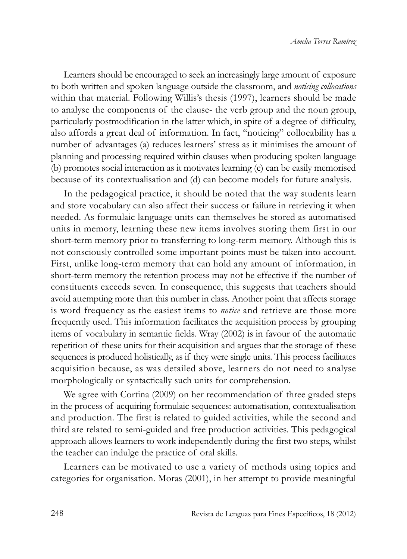learners should be encouraged to seek an increasingly large amount of exposure to both written and spoken language outside the classroom, and *noticing collocations* within that material. Following Willis's thesis (1997), learners should be made to analyse the components of the clause- the verb group and the noun group, particularly postmodification in the latter which, in spite of a degree of difficulty, also affords a great deal of information. In fact, "noticing" collocability has a number of advantages (a) reduces learners' stress as it minimises the amount of planning and processing required within clauses when producing spoken language (b) promotes social interaction as it motivates learning (c) can be easily memorised because of its contextualisation and (d) can become models for future analysis.

In the pedagogical practice, it should be noted that the way students learn and store vocabulary can also affect their success or failure in retrieving it when needed. As formulaic language units can themselves be stored as automatised units in memory, learning these new items involves storing them first in our short-term memory prior to transferring to long-term memory. Although this is not consciously controlled some important points must be taken into account. First, unlike long-term memory that can hold any amount of information, in short-term memory the retention process may not be effective if the number of constituents exceeds seven. In consequence, this suggests that teachers should avoid attempting more than this number in class. Another point that affects storage is word frequency as the easiest items to *notice* and retrieve are those more frequently used. This information facilitates the acquisition process by grouping items of vocabulary in semantic fields. Wray (2002) is in favour of the automatic repetition of these units for their acquisition and argues that the storage of these sequences is produced holistically, as if they were single units. This process facilitates acquisition because, as was detailed above, learners do not need to analyse morphologically or syntactically such units for comprehension.

We agree with Cortina (2009) on her recommendation of three graded steps in the process of acquiring formulaic sequences: automatisation, contextualisation and production. The first is related to guided activities, while the second and third are related to semi-guided and free production activities. This pedagogical approach allows learners to work independently during the first two steps, whilst the teacher can indulge the practice of oral skills.

learners can be motivated to use a variety of methods using topics and categories for organisation. Moras (2001), in her attempt to provide meaningful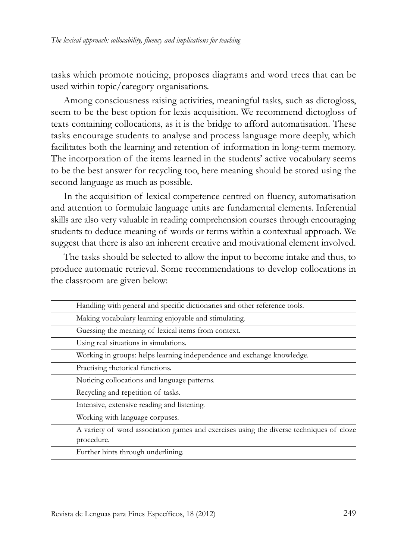tasks which promote noticing, proposes diagrams and word trees that can be used within topic/category organisations.

Among consciousness raising activities, meaningful tasks, such as dictogloss, seem to be the best option for lexis acquisition. We recommend dictogloss of texts containing collocations, as it is the bridge to afford automatisation. These tasks encourage students to analyse and process language more deeply, which facilitates both the learning and retention of information in long-term memory. The incorporation of the items learned in the students' active vocabulary seems to be the best answer for recycling too, here meaning should be stored using the second language as much as possible.

In the acquisition of lexical competence centred on fluency, automatisation and attention to formulaic language units are fundamental elements. Inferential skills are also very valuable in reading comprehension courses through encouraging students to deduce meaning of words or terms within a contextual approach. We suggest that there is also an inherent creative and motivational element involved.

The tasks should be selected to allow the input to become intake and thus, to produce automatic retrieval. Some recommendations to develop collocations in the classroom are given below:

| Handling with general and specific dictionaries and other reference tools.                            |
|-------------------------------------------------------------------------------------------------------|
| Making vocabulary learning enjoyable and stimulating.                                                 |
| Guessing the meaning of lexical items from context.                                                   |
| Using real situations in simulations.                                                                 |
| Working in groups: helps learning independence and exchange knowledge.                                |
| Practising rhetorical functions.                                                                      |
| Noticing collocations and language patterns.                                                          |
| Recycling and repetition of tasks.                                                                    |
| Intensive, extensive reading and listening.                                                           |
| Working with language corpuses.                                                                       |
| A variety of word association games and exercises using the diverse techniques of cloze<br>procedure. |
| Further hints through underlining.                                                                    |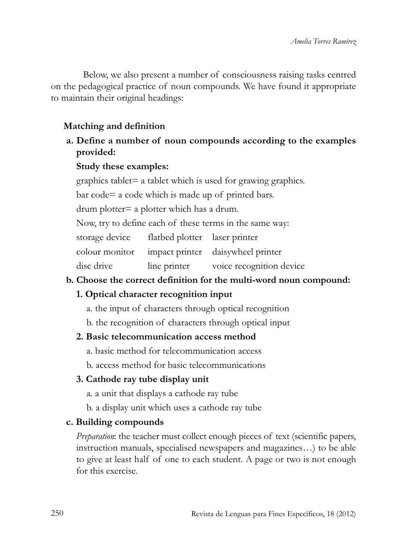Below, we also present a number of consciousness raising tasks centred on the pedagogical practice of noun compounds. We have found it appropriate to maintain their original headings:

## **Matching and definition**

**a. Define a number of noun compounds according to the examples provided:** 

#### **Study these examples:**

graphics tablet $=$  a tablet which is used for grawing graphics.

bar code= a code which is made up of printed bars.

drum plotter= a plotter which has a drum.

Now, try to define each of these terms in the same way:

storage device flatbed plotter laser printer

colour monitor impact printer daisywheel printer

disc drive line printer voice recognition device

# **b. Choose the correct definition for the multi-word noun compound:**

# **1. Optical character recognition input**

- a. the input of characters through optical recognition
- b. the recognition of characters through optical input

#### **2. Basic telecommunication access method**

a. basic method for telecommunication access

b. access method for basic telecommunications

# **3. Cathode ray tube display unit**

- a. a unit that displays a cathode ray tube
- b. a display unit which uses a cathode ray tube

# **c. Building compounds**

*Preparation*: the teacher must collect enough pieces of text (scientific papers, instruction manuals, specialised newspapers and magazines…) to be able to give at least half of one to each student. A page or two is not enough for this exercise.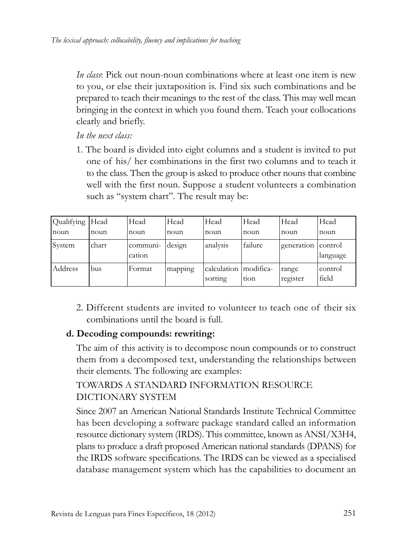*In class*: Pick out noun-noun combinations where at least one item is new to you, or else their juxtaposition is. Find six such combinations and be prepared to teach their meanings to the rest of the class. This may well mean bringing in the context in which you found them. Teach your collocations clearly and briefly.

*In the next class:* 

1. The board is divided into eight columns and a student is invited to put one of his/ her combinations in the first two columns and to teach it to the class. Then the group is asked to produce other nouns that combine well with the first noun. Suppose a student volunteers a combination such as "system chart". The result may be:

| Qualifying  Head |       | Head               | Head    | Head                   | Head              | Head              | Head                |
|------------------|-------|--------------------|---------|------------------------|-------------------|-------------------|---------------------|
| noun             | noun  | noun               | noun    | noun                   | noun              | noun              | noun                |
| <b>System</b>    | chart | communi-<br>cation | design  | analysis               | failure           | generation        | control<br>language |
| Address          | bus   | Format             | mapping | calculation<br>sorting | modifica-<br>tion | range<br>register | control<br>field    |

2. Different students are invited to volunteer to teach one of their six combinations until the board is full.

# **d. Decoding compounds: rewriting:**

The aim of this activity is to decompose noun compounds or to construct them from a decomposed text, understanding the relationships between their elements. The following are examples:

# TOWARDS A STANDARD INFORMATION RESOURCE diCTiONARY SYSTEM

Since 2007 an American National Standards institute Technical Committee has been developing a software package standard called an information resource dictionary system (IRDS). This committee, known as  $ANSI/X3H4$ , plans to produce a draft proposed American national standards (DPANS) for the IRDS software specifications. The IRDS can be viewed as a specialised database management system which has the capabilities to document an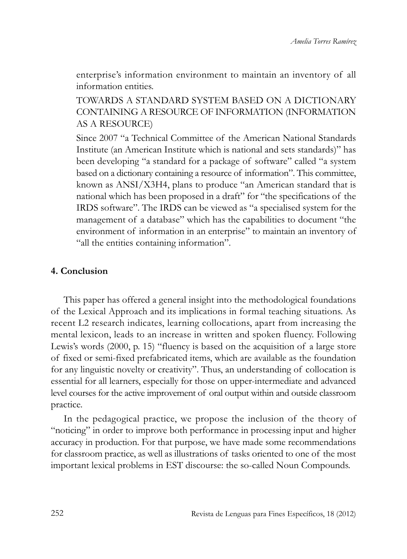enterprise's information environment to maintain an inventory of all information entities.

TOWARdS A STANdARd SYSTEM BASEd ON A diCTiONARY CONTAiNiNG A RESOURCE OF iNFORMATiON (iNFORMATiON AS A RESOURCE)

Since 2007 "a Technical Committee of the American National Standards Institute (an American Institute which is national and sets standards)" has been developing "a standard for a package of software" called "a system based on a dictionary containing a resource of information". This committee, known as ANSi/X3H4, plans to produce "an American standard that is national which has been proposed in a draft" for "the specifications of the IRDS software". The IRDS can be viewed as "a specialised system for the management of a database" which has the capabilities to document "the environment of information in an enterprise" to maintain an inventory of "all the entities containing information".

### **4. Conclusion**

This paper has offered a general insight into the methodological foundations of the lexical Approach and its implications in formal teaching situations. As recent l2 research indicates, learning collocations, apart from increasing the mental lexicon, leads to an increase in written and spoken fluency. Following lewis's words (2000, p. 15) "fluency is based on the acquisition of a large store of fixed or semi-fixed prefabricated items, which are available as the foundation for any linguistic novelty or creativity". Thus, an understanding of collocation is essential for all learners, especially for those on upper-intermediate and advanced level courses for the active improvement of oral output within and outside classroom practice.

In the pedagogical practice, we propose the inclusion of the theory of "noticing" in order to improve both performance in processing input and higher accuracy in production. For that purpose, we have made some recommendations for classroom practice, as well as illustrations of tasks oriented to one of the most important lexical problems in EST discourse: the so-called Noun Compounds.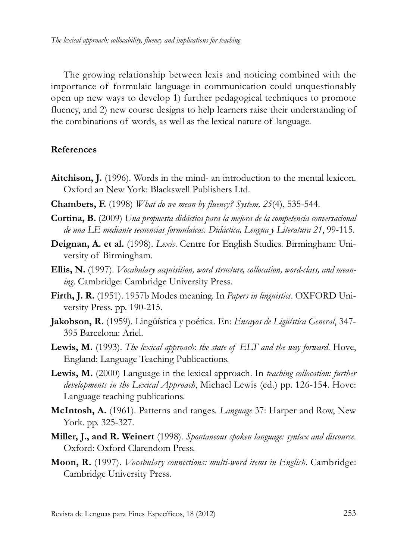The growing relationship between lexis and noticing combined with the importance of formulaic language in communication could unquestionably open up new ways to develop 1) further pedagogical techniques to promote fluency, and 2) new course designs to help learners raise their understanding of the combinations of words, as well as the lexical nature of language.

#### **References**

- **Aitchison, J.** (1996). Words in the mind- an introduction to the mental lexicon. Oxford an New York: Blackswell Publishers ltd.
- **Chambers, F.** (1998) *What do we mean by fluency? System, 25*(4), 535-544.
- **Cortina, B.** (2009) *Una propuesta didáctica para la mejora de la competencia conversacional de una LE mediante secuencias formulaicas. Didáctica, Lengua y Literatura 21*, 99-115.
- **Deignan, A. et al.** (1998). *Lexis*. Centre for English Studies. Birmingham: University of Birmingham.
- **Ellis, N.** (1997). *Vocabulary acquisition, word structure, collocation, word-class, and meaning*. Cambridge: Cambridge University Press.
- Firth, J. R. (1951). 1957b Modes meaning. In *Papers in linguistics*. OXFORD University Press. pp. 190-215.
- **Jakobson, R.** (1959). lingüística y poética. En: *Ensayos de Ligüística General*, 347- 395 Barcelona: Ariel.
- **Lewis, M.** (1993). *The lexical approach*: *the state of ELT and the way forward*. Hove, England: language Teaching Publicactions.
- Lewis, M. (2000) Language in the lexical approach. In *teaching collocation: further developments in the Lexical Approach*, Michael lewis (ed.) pp. 126-154. Hove: Language teaching publications.
- **McIntosh, A.** (1961). Patterns and ranges. *Language* 37: Harper and Row, New York. pp. 325-327.
- **Miller, J., and R. Weinert** (1998). *Spontaneous spoken language: syntax and discourse*. Oxford: Oxford Clarendom Press.
- **Moon, R.** (1997). *Vocabulary connections: multi-word items in English*. Cambridge: Cambridge University Press.